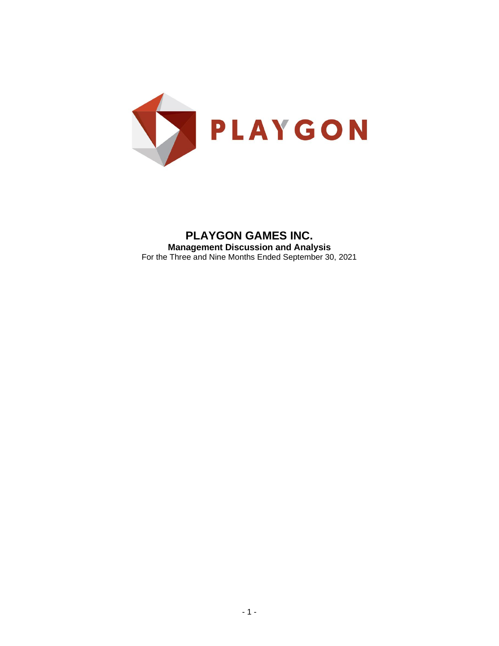

**PLAYGON GAMES INC. Management Discussion and Analysis** For the Three and Nine Months Ended September 30, 2021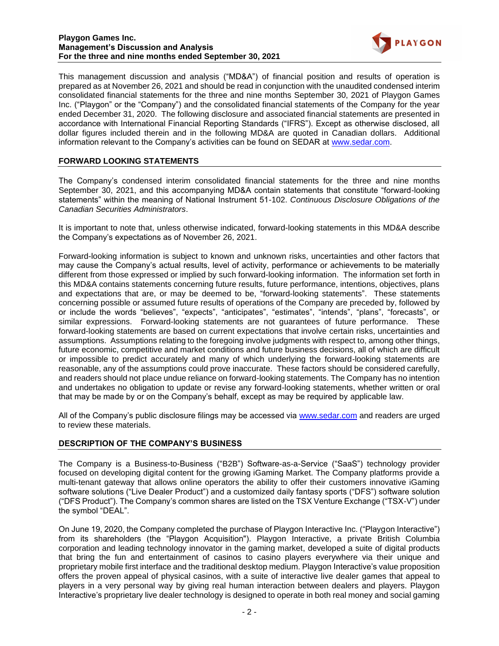

This management discussion and analysis ("MD&A") of financial position and results of operation is prepared as at November 26, 2021 and should be read in conjunction with the unaudited condensed interim consolidated financial statements for the three and nine months September 30, 2021 of Playgon Games Inc. ("Playgon" or the "Company") and the consolidated financial statements of the Company for the year ended December 31, 2020. The following disclosure and associated financial statements are presented in accordance with International Financial Reporting Standards ("IFRS"). Except as otherwise disclosed, all dollar figures included therein and in the following MD&A are quoted in Canadian dollars. Additional information relevant to the Company's activities can be found on SEDAR at www.sedar.com.

# **FORWARD LOOKING STATEMENTS**

The Company's condensed interim consolidated financial statements for the three and nine months September 30, 2021, and this accompanying MD&A contain statements that constitute "forward-looking statements" within the meaning of National Instrument 51-102. *Continuous Disclosure Obligations of the Canadian Securities Administrators*.

It is important to note that, unless otherwise indicated, forward-looking statements in this MD&A describe the Company's expectations as of November 26, 2021.

Forward-looking information is subject to known and unknown risks, uncertainties and other factors that may cause the Company's actual results, level of activity, performance or achievements to be materially different from those expressed or implied by such forward-looking information. The information set forth in this MD&A contains statements concerning future results, future performance, intentions, objectives, plans and expectations that are, or may be deemed to be, "forward-looking statements". These statements concerning possible or assumed future results of operations of the Company are preceded by, followed by or include the words "believes", "expects", "anticipates", "estimates", "intends", "plans", "forecasts", or similar expressions. Forward-looking statements are not guarantees of future performance. These forward-looking statements are based on current expectations that involve certain risks, uncertainties and assumptions. Assumptions relating to the foregoing involve judgments with respect to, among other things, future economic, competitive and market conditions and future business decisions, all of which are difficult or impossible to predict accurately and many of which underlying the forward-looking statements are reasonable, any of the assumptions could prove inaccurate. These factors should be considered carefully, and readers should not place undue reliance on forward-looking statements. The Company has no intention and undertakes no obligation to update or revise any forward-looking statements, whether written or oral that may be made by or on the Company's behalf, except as may be required by applicable law.

All of the Company's public disclosure filings may be accessed via [www.sedar.com](http://www.sedar.com/) and readers are urged to review these materials.

### **DESCRIPTION OF THE COMPANY'S BUSINESS**

The Company is a Business-to-Business ("B2B") Software-as-a-Service ("SaaS") technology provider focused on developing digital content for the growing iGaming Market. The Company platforms provide a multi-tenant gateway that allows online operators the ability to offer their customers innovative iGaming software solutions ("Live Dealer Product") and a customized daily fantasy sports ("DFS") software solution ("DFS Product"). The Company's common shares are listed on the TSX Venture Exchange ("TSX-V") under the symbol "DEAL".

On June 19, 2020, the Company completed the purchase of Playgon Interactive Inc. ("Playgon Interactive") from its shareholders (the "Playgon Acquisition"). Playgon Interactive, a private British Columbia corporation and leading technology innovator in the gaming market, developed a suite of digital products that bring the fun and entertainment of casinos to casino players everywhere via their unique and proprietary mobile first interface and the traditional desktop medium. Playgon Interactive's value proposition offers the proven appeal of physical casinos, with a suite of interactive live dealer games that appeal to players in a very personal way by giving real human interaction between dealers and players. Playgon Interactive's proprietary live dealer technology is designed to operate in both real money and social gaming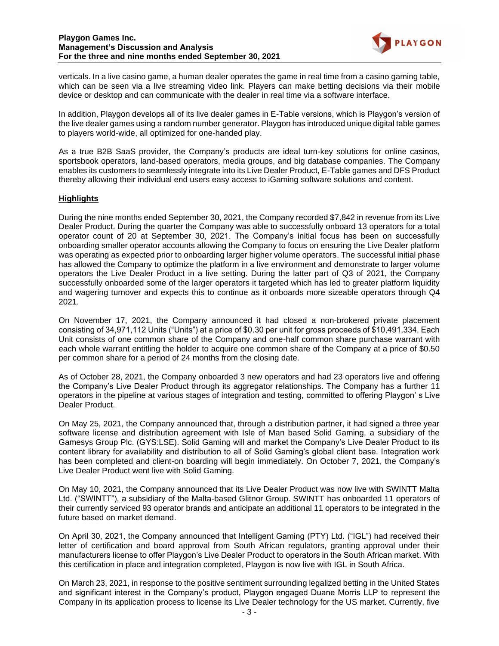

verticals. In a live casino game, a human dealer operates the game in real time from a casino gaming table, which can be seen via a live streaming video link. Players can make betting decisions via their mobile device or desktop and can communicate with the dealer in real time via a software interface.

In addition, Playgon develops all of its live dealer games in E-Table versions, which is Playgon's version of the live dealer games using a random number generator. Playgon has introduced unique digital table games to players world-wide, all optimized for one-handed play.

As a true B2B SaaS provider, the Company's products are ideal turn-key solutions for online casinos, sportsbook operators, land-based operators, media groups, and big database companies. The Company enables its customers to seamlessly integrate into its Live Dealer Product, E-Table games and DFS Product thereby allowing their individual end users easy access to iGaming software solutions and content.

# **Highlights**

During the nine months ended September 30, 2021, the Company recorded \$7,842 in revenue from its Live Dealer Product. During the quarter the Company was able to successfully onboard 13 operators for a total operator count of 20 at September 30, 2021. The Company's initial focus has been on successfully onboarding smaller operator accounts allowing the Company to focus on ensuring the Live Dealer platform was operating as expected prior to onboarding larger higher volume operators. The successful initial phase has allowed the Company to optimize the platform in a live environment and demonstrate to larger volume operators the Live Dealer Product in a live setting. During the latter part of Q3 of 2021, the Company successfully onboarded some of the larger operators it targeted which has led to greater platform liquidity and wagering turnover and expects this to continue as it onboards more sizeable operators through Q4 2021.

On November 17, 2021, the Company announced it had closed a non-brokered private placement consisting of 34,971,112 Units ("Units") at a price of \$0.30 per unit for gross proceeds of \$10,491,334. Each Unit consists of one common share of the Company and one-half common share purchase warrant with each whole warrant entitling the holder to acquire one common share of the Company at a price of \$0.50 per common share for a period of 24 months from the closing date.

As of October 28, 2021, the Company onboarded 3 new operators and had 23 operators live and offering the Company's Live Dealer Product through its aggregator relationships. The Company has a further 11 operators in the pipeline at various stages of integration and testing, committed to offering Playgon' s Live Dealer Product.

On May 25, 2021, the Company announced that, through a distribution partner, it had signed a three year software license and distribution agreement with Isle of Man based Solid Gaming, a subsidiary of the Gamesys Group Plc. (GYS:LSE). Solid Gaming will and market the Company's Live Dealer Product to its content library for availability and distribution to all of Solid Gaming's global client base. Integration work has been completed and client-on boarding will begin immediately. On October 7, 2021, the Company's Live Dealer Product went live with Solid Gaming.

On May 10, 2021, the Company announced that its Live Dealer Product was now live with SWINTT Malta Ltd. ("SWINTT"), a subsidiary of the Malta-based Glitnor Group. SWINTT has onboarded 11 operators of their currently serviced 93 operator brands and anticipate an additional 11 operators to be integrated in the future based on market demand.

On April 30, 2021, the Company announced that Intelligent Gaming (PTY) Ltd. ("IGL") had received their letter of certification and board approval from South African regulators, granting approval under their manufacturers license to offer Playgon's Live Dealer Product to operators in the South African market. With this certification in place and integration completed, Playgon is now live with IGL in South Africa.

On March 23, 2021, in response to the positive sentiment surrounding legalized betting in the United States and significant interest in the Company's product, Playgon engaged Duane Morris LLP to represent the Company in its application process to license its Live Dealer technology for the US market. Currently, five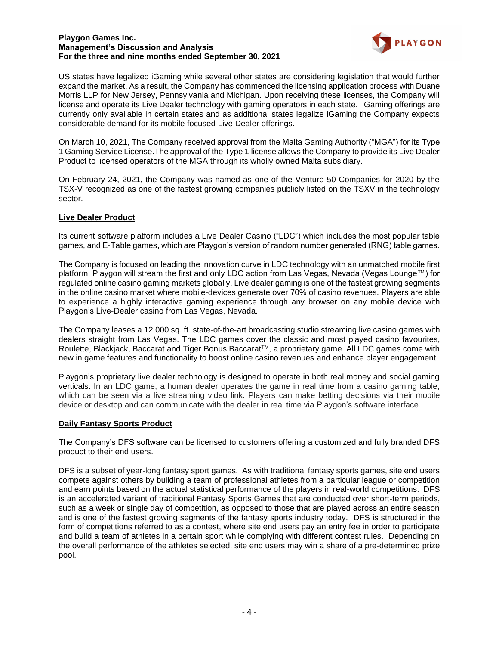

US states have legalized iGaming while several other states are considering legislation that would further expand the market. As a result, the Company has commenced the licensing application process with Duane Morris LLP for New Jersey, Pennsylvania and Michigan. Upon receiving these licenses, the Company will license and operate its Live Dealer technology with gaming operators in each state. iGaming offerings are currently only available in certain states and as additional states legalize iGaming the Company expects considerable demand for its mobile focused Live Dealer offerings.

On March 10, 2021, The Company received approval from the Malta Gaming Authority ("MGA") for its Type 1 Gaming Service License.The approval of the Type 1 license allows the Company to provide its Live Dealer Product to licensed operators of the MGA through its wholly owned Malta subsidiary.

On February 24, 2021, the Company was named as one of the Venture 50 Companies for 2020 by the TSX-V recognized as one of the fastest growing companies publicly listed on the TSXV in the technology sector.

# **Live Dealer Product**

Its current software platform includes a Live Dealer Casino ("LDC") which includes the most popular table games, and E-Table games, which are Playgon's version of random number generated (RNG) table games.

The Company is focused on leading the innovation curve in LDC technology with an unmatched mobile first platform. Playgon will stream the first and only LDC action from Las Vegas, Nevada (Vegas Lounge™) for regulated online casino gaming markets globally. Live dealer gaming is one of the fastest growing segments in the online casino market where mobile-devices generate over 70% of casino revenues. Players are able to experience a highly interactive gaming experience through any browser on any mobile device with Playgon's Live-Dealer casino from Las Vegas, Nevada.

The Company leases a 12,000 sq. ft. state-of-the-art broadcasting studio streaming live casino games with dealers straight from Las Vegas. The LDC games cover the classic and most played casino favourites, Roulette, Blackjack, Baccarat and Tiger Bonus Baccarat™, a proprietary game. All LDC games come with new in game features and functionality to boost online casino revenues and enhance player engagement.

Playgon's proprietary live dealer technology is designed to operate in both real money and social gaming verticals. In an LDC game, a human dealer operates the game in real time from a casino gaming table, which can be seen via a live streaming video link. Players can make betting decisions via their mobile device or desktop and can communicate with the dealer in real time via Playgon's software interface.

### **Daily Fantasy Sports Product**

The Company's DFS software can be licensed to customers offering a customized and fully branded DFS product to their end users.

DFS is a subset of year-long fantasy sport games. As with traditional fantasy sports games, site end users compete against others by building a team of professional athletes from a particular league or competition and earn points based on the actual statistical performance of the players in real-world competitions. DFS is an accelerated variant of traditional Fantasy Sports Games that are conducted over short-term periods, such as a week or single day of competition, as opposed to those that are played across an entire season and is one of the fastest growing segments of the fantasy sports industry today. DFS is structured in the form of competitions referred to as a contest, where site end users pay an entry fee in order to participate and build a team of athletes in a certain sport while complying with different contest rules. Depending on the overall performance of the athletes selected, site end users may win a share of a pre-determined prize pool.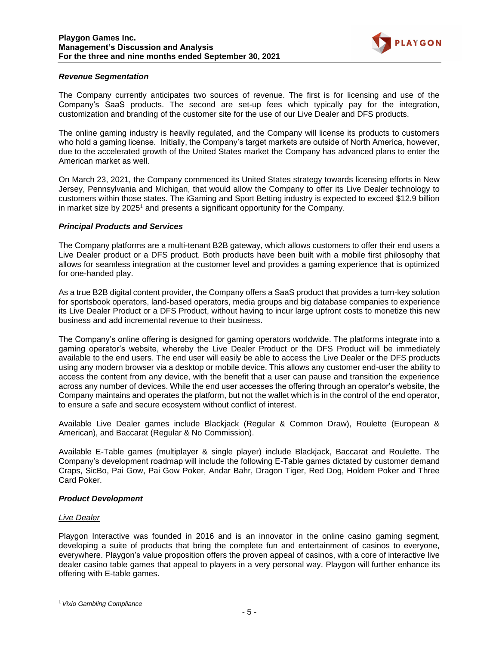

#### *Revenue Segmentation*

The Company currently anticipates two sources of revenue. The first is for licensing and use of the Company's SaaS products. The second are set-up fees which typically pay for the integration, customization and branding of the customer site for the use of our Live Dealer and DFS products.

The online gaming industry is heavily regulated, and the Company will license its products to customers who hold a gaming license. Initially, the Company's target markets are outside of North America, however, due to the accelerated growth of the United States market the Company has advanced plans to enter the American market as well.

On March 23, 2021, the Company commenced its United States strategy towards licensing efforts in New Jersey, Pennsylvania and Michigan, that would allow the Company to offer its Live Dealer technology to customers within those states. The iGaming and Sport Betting industry is expected to exceed \$12.9 billion in market size by 2025<sup>1</sup> and presents a significant opportunity for the Company.

#### *Principal Products and Services*

The Company platforms are a multi-tenant B2B gateway, which allows customers to offer their end users a Live Dealer product or a DFS product. Both products have been built with a mobile first philosophy that allows for seamless integration at the customer level and provides a gaming experience that is optimized for one-handed play.

As a true B2B digital content provider, the Company offers a SaaS product that provides a turn-key solution for sportsbook operators, land-based operators, media groups and big database companies to experience its Live Dealer Product or a DFS Product, without having to incur large upfront costs to monetize this new business and add incremental revenue to their business.

The Company's online offering is designed for gaming operators worldwide. The platforms integrate into a gaming operator's website, whereby the Live Dealer Product or the DFS Product will be immediately available to the end users. The end user will easily be able to access the Live Dealer or the DFS products using any modern browser via a desktop or mobile device. This allows any customer end-user the ability to access the content from any device, with the benefit that a user can pause and transition the experience across any number of devices. While the end user accesses the offering through an operator's website, the Company maintains and operates the platform, but not the wallet which is in the control of the end operator, to ensure a safe and secure ecosystem without conflict of interest.

Available Live Dealer games include Blackjack (Regular & Common Draw), Roulette (European & American), and Baccarat (Regular & No Commission).

Available E-Table games (multiplayer & single player) include Blackjack, Baccarat and Roulette. The Company's development roadmap will include the following E-Table games dictated by customer demand Craps, SicBo, Pai Gow, Pai Gow Poker, Andar Bahr, Dragon Tiger, Red Dog, Holdem Poker and Three Card Poker.

### *Product Development*

#### *Live Dealer*

Playgon Interactive was founded in 2016 and is an innovator in the online casino gaming segment, developing a suite of products that bring the complete fun and entertainment of casinos to everyone, everywhere. Playgon's value proposition offers the proven appeal of casinos, with a core of interactive live dealer casino table games that appeal to players in a very personal way. Playgon will further enhance its offering with E-table games.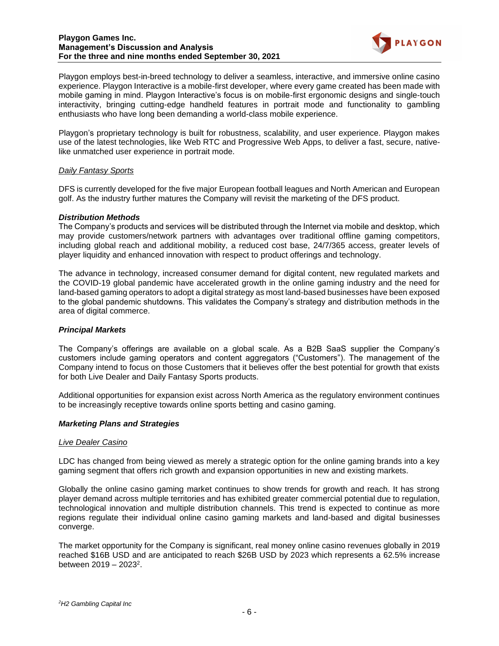

Playgon employs best-in-breed technology to deliver a seamless, interactive, and immersive online casino experience. Playgon Interactive is a mobile-first developer, where every game created has been made with mobile gaming in mind. Playgon Interactive's focus is on mobile-first ergonomic designs and single-touch interactivity, bringing cutting-edge handheld features in portrait mode and functionality to gambling enthusiasts who have long been demanding a world-class mobile experience.

Playgon's proprietary technology is built for robustness, scalability, and user experience. Playgon makes use of the latest technologies, like Web RTC and Progressive Web Apps, to deliver a fast, secure, nativelike unmatched user experience in portrait mode.

### *Daily Fantasy Sports*

DFS is currently developed for the five major European football leagues and North American and European golf. As the industry further matures the Company will revisit the marketing of the DFS product.

# *Distribution Methods*

The Company's products and services will be distributed through the Internet via mobile and desktop, which may provide customers/network partners with advantages over traditional offline gaming competitors, including global reach and additional mobility, a reduced cost base, 24/7/365 access, greater levels of player liquidity and enhanced innovation with respect to product offerings and technology.

The advance in technology, increased consumer demand for digital content, new regulated markets and the COVID-19 global pandemic have accelerated growth in the online gaming industry and the need for land-based gaming operators to adopt a digital strategy as most land-based businesses have been exposed to the global pandemic shutdowns. This validates the Company's strategy and distribution methods in the area of digital commerce.

### *Principal Markets*

The Company's offerings are available on a global scale. As a B2B SaaS supplier the Company's customers include gaming operators and content aggregators ("Customers"). The management of the Company intend to focus on those Customers that it believes offer the best potential for growth that exists for both Live Dealer and Daily Fantasy Sports products.

Additional opportunities for expansion exist across North America as the regulatory environment continues to be increasingly receptive towards online sports betting and casino gaming.

### *Marketing Plans and Strategies*

### *Live Dealer Casino*

LDC has changed from being viewed as merely a strategic option for the online gaming brands into a key gaming segment that offers rich growth and expansion opportunities in new and existing markets.

Globally the online casino gaming market continues to show trends for growth and reach. It has strong player demand across multiple territories and has exhibited greater commercial potential due to regulation, technological innovation and multiple distribution channels. This trend is expected to continue as more regions regulate their individual online casino gaming markets and land-based and digital businesses converge.

The market opportunity for the Company is significant, real money online casino revenues globally in 2019 reached \$16B USD and are anticipated to reach \$26B USD by 2023 which represents a 62.5% increase between 2019 – 2023<sup>2</sup>.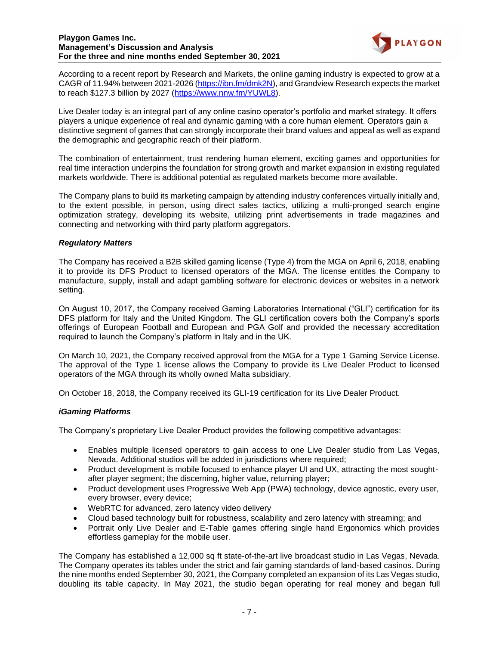

According to a recent report by Research and Markets, the online gaming industry is expected to grow at a CAGR of 11.94% between 2021-2026 [\(https://ibn.fm/dmk2N\)](https://ibn.fm/dmk2N), and Grandview Research expects the market to reach \$127.3 billion by 2027 [\(https://www.nnw.fm/YUWL8\)](https://www.nnw.fm/YUWL8).

Live Dealer today is an integral part of any online casino operator's portfolio and market strategy. It offers players a unique experience of real and dynamic gaming with a core human element. Operators gain a distinctive segment of games that can strongly incorporate their brand values and appeal as well as expand the demographic and geographic reach of their platform.

The combination of entertainment, trust rendering human element, exciting games and opportunities for real time interaction underpins the foundation for strong growth and market expansion in existing regulated markets worldwide. There is additional potential as regulated markets become more available.

The Company plans to build its marketing campaign by attending industry conferences virtually initially and, to the extent possible, in person, using direct sales tactics, utilizing a multi-pronged search engine optimization strategy, developing its website, utilizing print advertisements in trade magazines and connecting and networking with third party platform aggregators.

# *Regulatory Matters*

The Company has received a B2B skilled gaming license (Type 4) from the MGA on April 6, 2018, enabling it to provide its DFS Product to licensed operators of the MGA. The license entitles the Company to manufacture, supply, install and adapt gambling software for electronic devices or websites in a network setting.

On August 10, 2017, the Company received Gaming Laboratories International ("GLI") certification for its DFS platform for Italy and the United Kingdom. The GLI certification covers both the Company's sports offerings of European Football and European and PGA Golf and provided the necessary accreditation required to launch the Company's platform in Italy and in the UK.

On March 10, 2021, the Company received approval from the MGA for a Type 1 Gaming Service License. The approval of the Type 1 license allows the Company to provide its Live Dealer Product to licensed operators of the MGA through its wholly owned Malta subsidiary.

On October 18, 2018, the Company received its GLI-19 certification for its Live Dealer Product.

# *iGaming Platforms*

The Company's proprietary Live Dealer Product provides the following competitive advantages:

- Enables multiple licensed operators to gain access to one Live Dealer studio from Las Vegas, Nevada. Additional studios will be added in jurisdictions where required;
- Product development is mobile focused to enhance player UI and UX, attracting the most soughtafter player segment; the discerning, higher value, returning player;
- Product development uses Progressive Web App (PWA) technology, device agnostic, every user, every browser, every device;
- WebRTC for advanced, zero latency video delivery
- Cloud based technology built for robustness, scalability and zero latency with streaming; and
- Portrait only Live Dealer and E-Table games offering single hand Ergonomics which provides effortless gameplay for the mobile user.

The Company has established a 12,000 sq ft state-of-the-art live broadcast studio in Las Vegas, Nevada. The Company operates its tables under the strict and fair gaming standards of land-based casinos. During the nine months ended September 30, 2021, the Company completed an expansion of its Las Vegas studio, doubling its table capacity. In May 2021, the studio began operating for real money and began full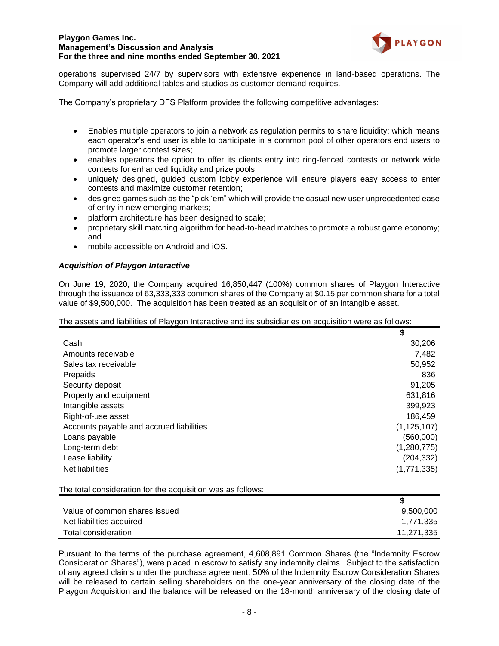

operations supervised 24/7 by supervisors with extensive experience in land-based operations. The Company will add additional tables and studios as customer demand requires.

The Company's proprietary DFS Platform provides the following competitive advantages:

- Enables multiple operators to join a network as regulation permits to share liquidity; which means each operator's end user is able to participate in a common pool of other operators end users to promote larger contest sizes;
- enables operators the option to offer its clients entry into ring-fenced contests or network wide contests for enhanced liquidity and prize pools;
- uniquely designed, guided custom lobby experience will ensure players easy access to enter contests and maximize customer retention;
- designed games such as the "pick 'em" which will provide the casual new user unprecedented ease of entry in new emerging markets;
- platform architecture has been designed to scale;
- proprietary skill matching algorithm for head-to-head matches to promote a robust game economy; and
- mobile accessible on Android and iOS.

### *Acquisition of Playgon Interactive*

On June 19, 2020, the Company acquired 16,850,447 (100%) common shares of Playgon Interactive through the issuance of 63,333,333 common shares of the Company at \$0.15 per common share for a total value of \$9,500,000. The acquisition has been treated as an acquisition of an intangible asset.

| The assets and liabilities of Playgon Interactive and its subsidiaries on acquisition were as follows: |  |  |  |  |  |
|--------------------------------------------------------------------------------------------------------|--|--|--|--|--|
|                                                                                                        |  |  |  |  |  |

|                                          | \$            |
|------------------------------------------|---------------|
| Cash                                     | 30,206        |
| Amounts receivable                       | 7,482         |
| Sales tax receivable                     | 50,952        |
| Prepaids                                 | 836           |
| Security deposit                         | 91,205        |
| Property and equipment                   | 631,816       |
| Intangible assets                        | 399,923       |
| Right-of-use asset                       | 186,459       |
| Accounts payable and accrued liabilities | (1, 125, 107) |
| Loans payable                            | (560,000)     |
| Long-term debt                           | (1,280,775)   |
| Lease liability                          | (204, 332)    |
| Net liabilities                          | (1,771,335)   |

The total consideration for the acquisition was as follows:

| Value of common shares issued | 9,500,000  |
|-------------------------------|------------|
| Net liabilities acquired      | 1,771,335  |
| Total consideration           | 11,271,335 |

Pursuant to the terms of the purchase agreement, 4,608,891 Common Shares (the "Indemnity Escrow Consideration Shares"), were placed in escrow to satisfy any indemnity claims. Subject to the satisfaction of any agreed claims under the purchase agreement, 50% of the Indemnity Escrow Consideration Shares will be released to certain selling shareholders on the one-year anniversary of the closing date of the Playgon Acquisition and the balance will be released on the 18-month anniversary of the closing date of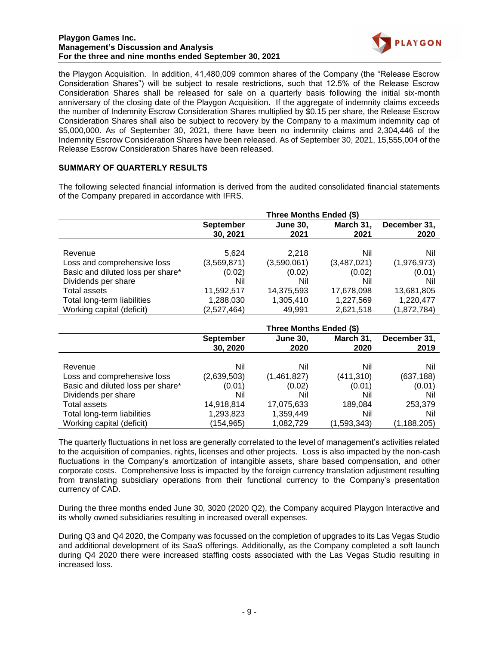

the Playgon Acquisition. In addition, 41,480,009 common shares of the Company (the "Release Escrow Consideration Shares") will be subject to resale restrictions, such that 12.5% of the Release Escrow Consideration Shares shall be released for sale on a quarterly basis following the initial six-month anniversary of the closing date of the Playgon Acquisition. If the aggregate of indemnity claims exceeds the number of Indemnity Escrow Consideration Shares multiplied by \$0.15 per share, the Release Escrow Consideration Shares shall also be subject to recovery by the Company to a maximum indemnity cap of \$5,000,000. As of September 30, 2021, there have been no indemnity claims and 2,304,446 of the Indemnity Escrow Consideration Shares have been released. As of September 30, 2021, 15,555,004 of the Release Escrow Consideration Shares have been released.

# **SUMMARY OF QUARTERLY RESULTS**

The following selected financial information is derived from the audited consolidated financial statements of the Company prepared in accordance with IFRS.

|                                   | Three Months Ended (\$)      |                         |                   |                      |
|-----------------------------------|------------------------------|-------------------------|-------------------|----------------------|
|                                   | <b>September</b><br>30, 2021 | <b>June 30,</b><br>2021 | March 31,<br>2021 | December 31,<br>2020 |
| Revenue                           | 5.624                        | 2.218                   | Nil               | Nil                  |
| Loss and comprehensive loss       | (3,569,871)                  | (3,590,061)             | (3,487,021)       | (1,976,973)          |
| Basic and diluted loss per share* | (0.02)                       | (0.02)                  | (0.02)            | (0.01)               |
| Dividends per share               | Nil                          | Nil                     | Nil               | Nil                  |
| <b>Total assets</b>               | 11,592,517                   | 14,375,593              | 17,678,098        | 13,681,805           |
| Total long-term liabilities       | 1,288,030                    | 1,305,410               | 1,227,569         | 1,220,477            |
| Working capital (deficit)         | (2,527,464)                  | 49.991                  | 2,621,518         | (1,872,784)          |

|                                   | Three Months Ended (\$)      |                         |                   |                      |  |
|-----------------------------------|------------------------------|-------------------------|-------------------|----------------------|--|
|                                   | <b>September</b><br>30, 2020 | <b>June 30,</b><br>2020 | March 31,<br>2020 | December 31,<br>2019 |  |
| Revenue                           | Nil                          | Nil                     | Nil               | Nil                  |  |
| Loss and comprehensive loss       | (2,639,503)                  | (1,461,827)             | (411, 310)        | (637, 188)           |  |
| Basic and diluted loss per share* | (0.01)                       | (0.02)                  | (0.01)            | (0.01)               |  |
| Dividends per share               | Nil                          | Nil                     | Nil               | Nil                  |  |
| Total assets                      | 14,918,814                   | 17,075,633              | 189,084           | 253,379              |  |
| Total long-term liabilities       | 1,293,823                    | 1,359,449               | Nil               | Nil                  |  |
| Working capital (deficit)         | (154, 965)                   | 1,082,729               | (1,593,343)       | (1, 188, 205)        |  |

The quarterly fluctuations in net loss are generally correlated to the level of management's activities related to the acquisition of companies, rights, licenses and other projects. Loss is also impacted by the non-cash fluctuations in the Company's amortization of intangible assets, share based compensation, and other corporate costs. Comprehensive loss is impacted by the foreign currency translation adjustment resulting from translating subsidiary operations from their functional currency to the Company's presentation currency of CAD.

During the three months ended June 30, 3020 (2020 Q2), the Company acquired Playgon Interactive and its wholly owned subsidiaries resulting in increased overall expenses.

During Q3 and Q4 2020, the Company was focussed on the completion of upgrades to its Las Vegas Studio and additional development of its SaaS offerings. Additionally, as the Company completed a soft launch during Q4 2020 there were increased staffing costs associated with the Las Vegas Studio resulting in increased loss.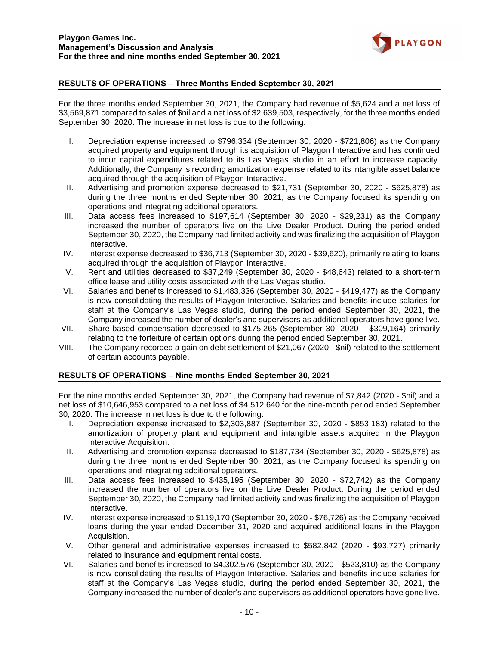

# **RESULTS OF OPERATIONS – Three Months Ended September 30, 2021**

For the three months ended September 30, 2021, the Company had revenue of \$5,624 and a net loss of \$3,569,871 compared to sales of \$nil and a net loss of \$2,639,503, respectively, for the three months ended September 30, 2020. The increase in net loss is due to the following:

- I. Depreciation expense increased to \$796,334 (September 30, 2020 \$721,806) as the Company acquired property and equipment through its acquisition of Playgon Interactive and has continued to incur capital expenditures related to its Las Vegas studio in an effort to increase capacity. Additionally, the Company is recording amortization expense related to its intangible asset balance acquired through the acquisition of Playgon Interactive.
- II. Advertising and promotion expense decreased to \$21,731 (September 30, 2020 \$625,878) as during the three months ended September 30, 2021, as the Company focused its spending on operations and integrating additional operators.
- III. Data access fees increased to \$197,614 (September 30, 2020 \$29,231) as the Company increased the number of operators live on the Live Dealer Product. During the period ended September 30, 2020, the Company had limited activity and was finalizing the acquisition of Playgon Interactive.
- IV. Interest expense decreased to \$36,713 (September 30, 2020 \$39,620), primarily relating to loans acquired through the acquisition of Playgon Interactive.
- V. Rent and utilities decreased to \$37,249 (September 30, 2020 \$48,643) related to a short-term office lease and utility costs associated with the Las Vegas studio.
- VI. Salaries and benefits increased to \$1,483,336 (September 30, 2020 \$419,477) as the Company is now consolidating the results of Playgon Interactive. Salaries and benefits include salaries for staff at the Company's Las Vegas studio, during the period ended September 30, 2021, the Company increased the number of dealer's and supervisors as additional operators have gone live.
- VII. Share-based compensation decreased to \$175,265 (September 30, 2020 \$309,164) primarily relating to the forfeiture of certain options during the period ended September 30, 2021.
- VIII. The Company recorded a gain on debt settlement of \$21,067 (2020 \$nil) related to the settlement of certain accounts payable.

### **RESULTS OF OPERATIONS – Nine months Ended September 30, 2021**

For the nine months ended September 30, 2021, the Company had revenue of \$7,842 (2020 - \$nil) and a net loss of \$10,646,953 compared to a net loss of \$4,512,640 for the nine-month period ended September 30, 2020. The increase in net loss is due to the following:

- I. Depreciation expense increased to \$2,303,887 (September 30, 2020 \$853,183) related to the amortization of property plant and equipment and intangible assets acquired in the Playgon Interactive Acquisition.
- II. Advertising and promotion expense decreased to \$187,734 (September 30, 2020 \$625,878) as during the three months ended September 30, 2021, as the Company focused its spending on operations and integrating additional operators.
- III. Data access fees increased to \$435,195 (September 30, 2020 \$72,742) as the Company increased the number of operators live on the Live Dealer Product. During the period ended September 30, 2020, the Company had limited activity and was finalizing the acquisition of Playgon Interactive.
- IV. Interest expense increased to \$119,170 (September 30, 2020 \$76,726) as the Company received loans during the year ended December 31, 2020 and acquired additional loans in the Playgon Acquisition.
- V. Other general and administrative expenses increased to \$582,842 (2020 \$93,727) primarily related to insurance and equipment rental costs.
- VI. Salaries and benefits increased to \$4,302,576 (September 30, 2020 \$523,810) as the Company is now consolidating the results of Playgon Interactive. Salaries and benefits include salaries for staff at the Company's Las Vegas studio, during the period ended September 30, 2021, the Company increased the number of dealer's and supervisors as additional operators have gone live.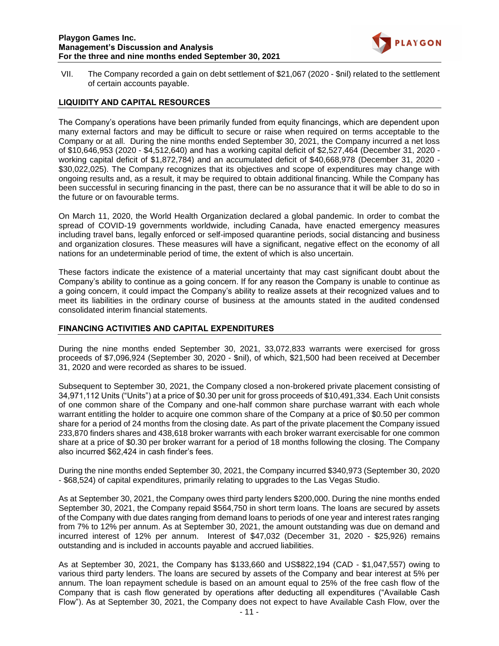

VII. The Company recorded a gain on debt settlement of \$21,067 (2020 - \$nil) related to the settlement of certain accounts payable.

## **LIQUIDITY AND CAPITAL RESOURCES**

The Company's operations have been primarily funded from equity financings, which are dependent upon many external factors and may be difficult to secure or raise when required on terms acceptable to the Company or at all. During the nine months ended September 30, 2021, the Company incurred a net loss of \$10,646,953 (2020 - \$4,512,640) and has a working capital deficit of \$2,527,464 (December 31, 2020 working capital deficit of \$1,872,784) and an accumulated deficit of \$40,668,978 (December 31, 2020 - \$30,022,025). The Company recognizes that its objectives and scope of expenditures may change with ongoing results and, as a result, it may be required to obtain additional financing. While the Company has been successful in securing financing in the past, there can be no assurance that it will be able to do so in the future or on favourable terms.

On March 11, 2020, the World Health Organization declared a global pandemic. In order to combat the spread of COVID-19 governments worldwide, including Canada, have enacted emergency measures including travel bans, legally enforced or self-imposed quarantine periods, social distancing and business and organization closures. These measures will have a significant, negative effect on the economy of all nations for an undeterminable period of time, the extent of which is also uncertain.

These factors indicate the existence of a material uncertainty that may cast significant doubt about the Company's ability to continue as a going concern. If for any reason the Company is unable to continue as a going concern, it could impact the Company's ability to realize assets at their recognized values and to meet its liabilities in the ordinary course of business at the amounts stated in the audited condensed consolidated interim financial statements.

### **FINANCING ACTIVITIES AND CAPITAL EXPENDITURES**

During the nine months ended September 30, 2021, 33,072,833 warrants were exercised for gross proceeds of \$7,096,924 (September 30, 2020 - \$nil), of which, \$21,500 had been received at December 31, 2020 and were recorded as shares to be issued.

Subsequent to September 30, 2021, the Company closed a non-brokered private placement consisting of 34,971,112 Units ("Units") at a price of \$0.30 per unit for gross proceeds of \$10,491,334. Each Unit consists of one common share of the Company and one-half common share purchase warrant with each whole warrant entitling the holder to acquire one common share of the Company at a price of \$0.50 per common share for a period of 24 months from the closing date. As part of the private placement the Company issued 233,870 finders shares and 438,618 broker warrants with each broker warrant exercisable for one common share at a price of \$0.30 per broker warrant for a period of 18 months following the closing. The Company also incurred \$62,424 in cash finder's fees.

During the nine months ended September 30, 2021, the Company incurred \$340,973 (September 30, 2020 - \$68,524) of capital expenditures, primarily relating to upgrades to the Las Vegas Studio.

As at September 30, 2021, the Company owes third party lenders \$200,000. During the nine months ended September 30, 2021, the Company repaid \$564,750 in short term loans. The loans are secured by assets of the Company with due dates ranging from demand loans to periods of one year and interest rates ranging from 7% to 12% per annum. As at September 30, 2021, the amount outstanding was due on demand and incurred interest of 12% per annum. Interest of \$47,032 (December 31, 2020 - \$25,926) remains outstanding and is included in accounts payable and accrued liabilities.

As at September 30, 2021, the Company has \$133,660 and US\$822,194 (CAD - \$1,047,557) owing to various third party lenders. The loans are secured by assets of the Company and bear interest at 5% per annum. The loan repayment schedule is based on an amount equal to 25% of the free cash flow of the Company that is cash flow generated by operations after deducting all expenditures ("Available Cash Flow"). As at September 30, 2021, the Company does not expect to have Available Cash Flow, over the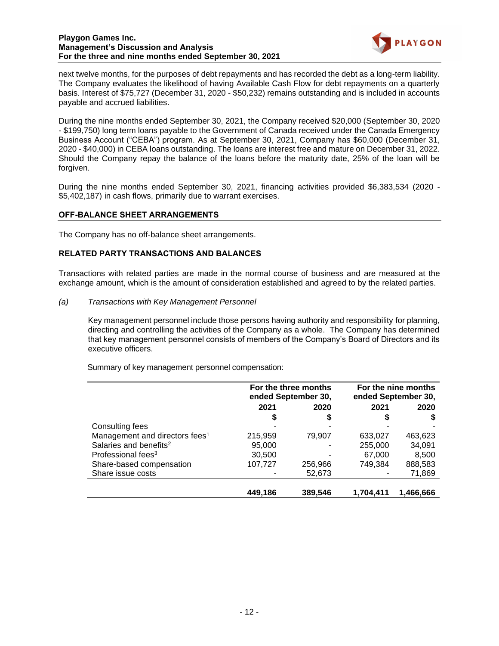

next twelve months, for the purposes of debt repayments and has recorded the debt as a long-term liability. The Company evaluates the likelihood of having Available Cash Flow for debt repayments on a quarterly basis. Interest of \$75,727 (December 31, 2020 - \$50,232) remains outstanding and is included in accounts payable and accrued liabilities.

During the nine months ended September 30, 2021, the Company received \$20,000 (September 30, 2020 - \$199,750) long term loans payable to the Government of Canada received under the Canada Emergency Business Account ("CEBA") program. As at September 30, 2021, Company has \$60,000 (December 31, 2020 - \$40,000) in CEBA loans outstanding. The loans are interest free and mature on December 31, 2022. Should the Company repay the balance of the loans before the maturity date, 25% of the loan will be forgiven.

During the nine months ended September 30, 2021, financing activities provided \$6,383,534 (2020 - \$5,402,187) in cash flows, primarily due to warrant exercises.

# **OFF-BALANCE SHEET ARRANGEMENTS**

The Company has no off-balance sheet arrangements.

# **RELATED PARTY TRANSACTIONS AND BALANCES**

Transactions with related parties are made in the normal course of business and are measured at the exchange amount, which is the amount of consideration established and agreed to by the related parties.

*(a) Transactions with Key Management Personnel*

Key management personnel include those persons having authority and responsibility for planning, directing and controlling the activities of the Company as a whole. The Company has determined that key management personnel consists of members of the Company's Board of Directors and its executive officers.

Summary of key management personnel compensation:

|                                            |         | For the three months<br>ended September 30, | For the nine months<br>ended September 30, |           |  |
|--------------------------------------------|---------|---------------------------------------------|--------------------------------------------|-----------|--|
|                                            | 2021    | 2020                                        | 2021                                       | 2020      |  |
|                                            | \$      |                                             |                                            |           |  |
| Consulting fees                            |         |                                             |                                            |           |  |
| Management and directors fees <sup>1</sup> | 215,959 | 79,907                                      | 633,027                                    | 463,623   |  |
| Salaries and benefits <sup>2</sup>         | 95,000  |                                             | 255,000                                    | 34,091    |  |
| Professional fees <sup>3</sup>             | 30,500  |                                             | 67,000                                     | 8,500     |  |
| Share-based compensation                   | 107,727 | 256,966                                     | 749.384                                    | 888,583   |  |
| Share issue costs                          |         | 52,673                                      |                                            | 71,869    |  |
|                                            |         |                                             |                                            |           |  |
|                                            | 449.186 | 389,546                                     | 1.704.411                                  | 1,466,666 |  |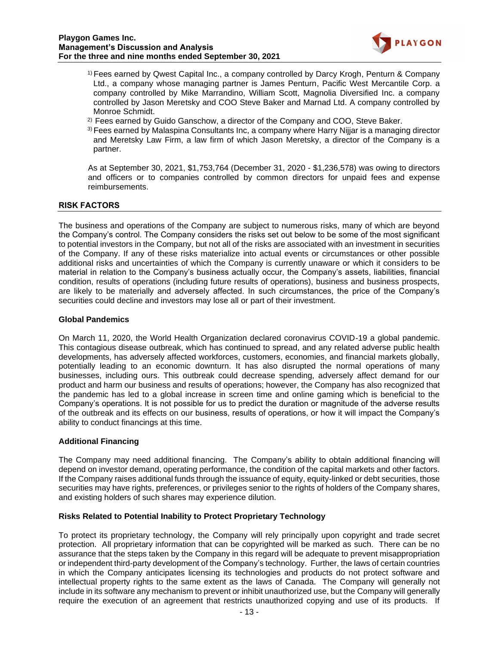

- 1) Fees earned by Qwest Capital Inc., a company controlled by Darcy Krogh, Penturn & Company Ltd., a company whose managing partner is James Penturn, Pacific West Mercantile Corp. a company controlled by Mike Marrandino, William Scott, Magnolia Diversified Inc. a company controlled by Jason Meretsky and COO Steve Baker and Marnad Ltd. A company controlled by Monroe Schmidt.
- $2)$  Fees earned by Guido Ganschow, a director of the Company and COO, Steve Baker.
- 3) Fees earned by Malaspina Consultants Inc, a company where Harry Nijjar is a managing director and Meretsky Law Firm, a law firm of which Jason Meretsky, a director of the Company is a partner.

As at September 30, 2021, \$1,753,764 (December 31, 2020 - \$1,236,578) was owing to directors and officers or to companies controlled by common directors for unpaid fees and expense reimbursements.

### **RISK FACTORS**

The business and operations of the Company are subject to numerous risks, many of which are beyond the Company's control. The Company considers the risks set out below to be some of the most significant to potential investors in the Company, but not all of the risks are associated with an investment in securities of the Company. If any of these risks materialize into actual events or circumstances or other possible additional risks and uncertainties of which the Company is currently unaware or which it considers to be material in relation to the Company's business actually occur, the Company's assets, liabilities, financial condition, results of operations (including future results of operations), business and business prospects, are likely to be materially and adversely affected. In such circumstances, the price of the Company's securities could decline and investors may lose all or part of their investment.

### **Global Pandemics**

On March 11, 2020, the World Health Organization declared coronavirus COVID-19 a global pandemic. This contagious disease outbreak, which has continued to spread, and any related adverse public health developments, has adversely affected workforces, customers, economies, and financial markets globally, potentially leading to an economic downturn. It has also disrupted the normal operations of many businesses, including ours. This outbreak could decrease spending, adversely affect demand for our product and harm our business and results of operations; however, the Company has also recognized that the pandemic has led to a global increase in screen time and online gaming which is beneficial to the Company's operations. It is not possible for us to predict the duration or magnitude of the adverse results of the outbreak and its effects on our business, results of operations, or how it will impact the Company's ability to conduct financings at this time.

### **Additional Financing**

The Company may need additional financing. The Company's ability to obtain additional financing will depend on investor demand, operating performance, the condition of the capital markets and other factors. If the Company raises additional funds through the issuance of equity, equity-linked or debt securities, those securities may have rights, preferences, or privileges senior to the rights of holders of the Company shares, and existing holders of such shares may experience dilution.

### **Risks Related to Potential Inability to Protect Proprietary Technology**

To protect its proprietary technology, the Company will rely principally upon copyright and trade secret protection. All proprietary information that can be copyrighted will be marked as such. There can be no assurance that the steps taken by the Company in this regard will be adequate to prevent misappropriation or independent third-party development of the Company's technology. Further, the laws of certain countries in which the Company anticipates licensing its technologies and products do not protect software and intellectual property rights to the same extent as the laws of Canada. The Company will generally not include in its software any mechanism to prevent or inhibit unauthorized use, but the Company will generally require the execution of an agreement that restricts unauthorized copying and use of its products. If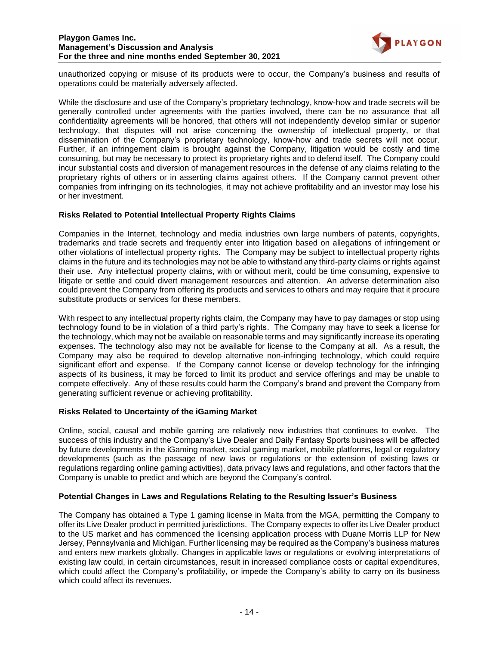

unauthorized copying or misuse of its products were to occur, the Company's business and results of operations could be materially adversely affected.

While the disclosure and use of the Company's proprietary technology, know-how and trade secrets will be generally controlled under agreements with the parties involved, there can be no assurance that all confidentiality agreements will be honored, that others will not independently develop similar or superior technology, that disputes will not arise concerning the ownership of intellectual property, or that dissemination of the Company's proprietary technology, know-how and trade secrets will not occur. Further, if an infringement claim is brought against the Company, litigation would be costly and time consuming, but may be necessary to protect its proprietary rights and to defend itself. The Company could incur substantial costs and diversion of management resources in the defense of any claims relating to the proprietary rights of others or in asserting claims against others. If the Company cannot prevent other companies from infringing on its technologies, it may not achieve profitability and an investor may lose his or her investment.

### **Risks Related to Potential Intellectual Property Rights Claims**

Companies in the Internet, technology and media industries own large numbers of patents, copyrights, trademarks and trade secrets and frequently enter into litigation based on allegations of infringement or other violations of intellectual property rights. The Company may be subject to intellectual property rights claims in the future and its technologies may not be able to withstand any third-party claims or rights against their use. Any intellectual property claims, with or without merit, could be time consuming, expensive to litigate or settle and could divert management resources and attention. An adverse determination also could prevent the Company from offering its products and services to others and may require that it procure substitute products or services for these members.

With respect to any intellectual property rights claim, the Company may have to pay damages or stop using technology found to be in violation of a third party's rights. The Company may have to seek a license for the technology, which may not be available on reasonable terms and may significantly increase its operating expenses. The technology also may not be available for license to the Company at all. As a result, the Company may also be required to develop alternative non-infringing technology, which could require significant effort and expense. If the Company cannot license or develop technology for the infringing aspects of its business, it may be forced to limit its product and service offerings and may be unable to compete effectively. Any of these results could harm the Company's brand and prevent the Company from generating sufficient revenue or achieving profitability.

#### **Risks Related to Uncertainty of the iGaming Market**

Online, social, causal and mobile gaming are relatively new industries that continues to evolve. The success of this industry and the Company's Live Dealer and Daily Fantasy Sports business will be affected by future developments in the iGaming market, social gaming market, mobile platforms, legal or regulatory developments (such as the passage of new laws or regulations or the extension of existing laws or regulations regarding online gaming activities), data privacy laws and regulations, and other factors that the Company is unable to predict and which are beyond the Company's control.

### **Potential Changes in Laws and Regulations Relating to the Resulting Issuer's Business**

The Company has obtained a Type 1 gaming license in Malta from the MGA, permitting the Company to offer its Live Dealer product in permitted jurisdictions. The Company expects to offer its Live Dealer product to the US market and has commenced the licensing application process with Duane Morris LLP for New Jersey, Pennsylvania and Michigan. Further licensing may be required as the Company's business matures and enters new markets globally. Changes in applicable laws or regulations or evolving interpretations of existing law could, in certain circumstances, result in increased compliance costs or capital expenditures, which could affect the Company's profitability, or impede the Company's ability to carry on its business which could affect its revenues.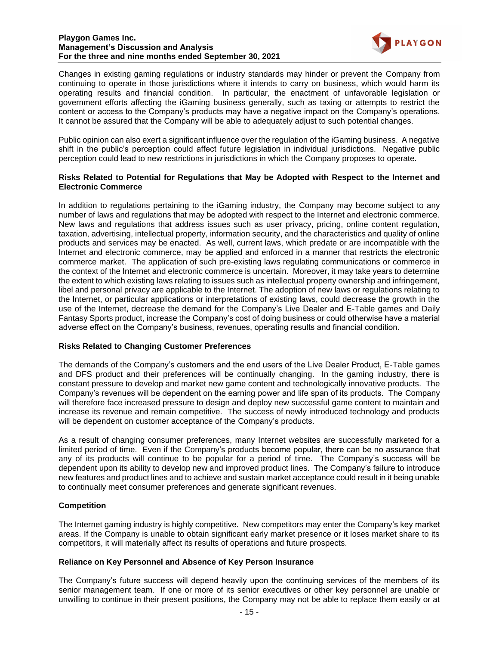

Changes in existing gaming regulations or industry standards may hinder or prevent the Company from continuing to operate in those jurisdictions where it intends to carry on business, which would harm its operating results and financial condition. In particular, the enactment of unfavorable legislation or government efforts affecting the iGaming business generally, such as taxing or attempts to restrict the content or access to the Company's products may have a negative impact on the Company's operations. It cannot be assured that the Company will be able to adequately adjust to such potential changes.

Public opinion can also exert a significant influence over the regulation of the iGaming business. A negative shift in the public's perception could affect future legislation in individual jurisdictions. Negative public perception could lead to new restrictions in jurisdictions in which the Company proposes to operate.

## **Risks Related to Potential for Regulations that May be Adopted with Respect to the Internet and Electronic Commerce**

In addition to regulations pertaining to the iGaming industry, the Company may become subject to any number of laws and regulations that may be adopted with respect to the Internet and electronic commerce. New laws and regulations that address issues such as user privacy, pricing, online content regulation, taxation, advertising, intellectual property, information security, and the characteristics and quality of online products and services may be enacted. As well, current laws, which predate or are incompatible with the Internet and electronic commerce, may be applied and enforced in a manner that restricts the electronic commerce market. The application of such pre-existing laws regulating communications or commerce in the context of the Internet and electronic commerce is uncertain. Moreover, it may take years to determine the extent to which existing laws relating to issues such as intellectual property ownership and infringement, libel and personal privacy are applicable to the Internet. The adoption of new laws or regulations relating to the Internet, or particular applications or interpretations of existing laws, could decrease the growth in the use of the Internet, decrease the demand for the Company's Live Dealer and E-Table games and Daily Fantasy Sports product, increase the Company's cost of doing business or could otherwise have a material adverse effect on the Company's business, revenues, operating results and financial condition.

### **Risks Related to Changing Customer Preferences**

The demands of the Company's customers and the end users of the Live Dealer Product, E-Table games and DFS product and their preferences will be continually changing. In the gaming industry, there is constant pressure to develop and market new game content and technologically innovative products. The Company's revenues will be dependent on the earning power and life span of its products. The Company will therefore face increased pressure to design and deploy new successful game content to maintain and increase its revenue and remain competitive. The success of newly introduced technology and products will be dependent on customer acceptance of the Company's products.

As a result of changing consumer preferences, many Internet websites are successfully marketed for a limited period of time. Even if the Company's products become popular, there can be no assurance that any of its products will continue to be popular for a period of time. The Company's success will be dependent upon its ability to develop new and improved product lines. The Company's failure to introduce new features and product lines and to achieve and sustain market acceptance could result in it being unable to continually meet consumer preferences and generate significant revenues.

# **Competition**

The Internet gaming industry is highly competitive. New competitors may enter the Company's key market areas. If the Company is unable to obtain significant early market presence or it loses market share to its competitors, it will materially affect its results of operations and future prospects.

### **Reliance on Key Personnel and Absence of Key Person Insurance**

The Company's future success will depend heavily upon the continuing services of the members of its senior management team. If one or more of its senior executives or other key personnel are unable or unwilling to continue in their present positions, the Company may not be able to replace them easily or at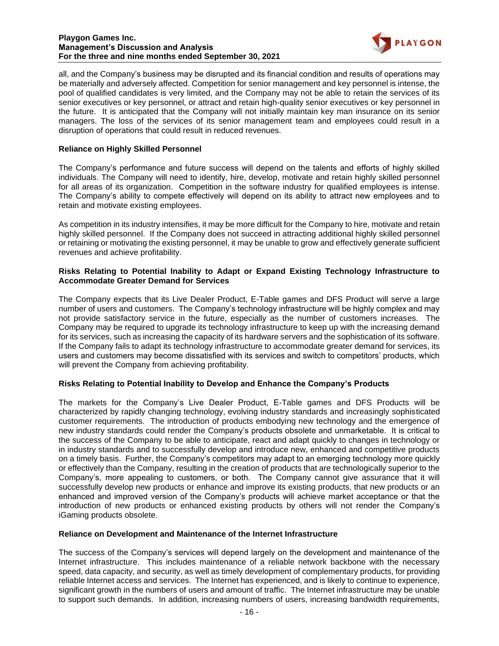

all, and the Company's business may be disrupted and its financial condition and results of operations may be materially and adversely affected. Competition for senior management and key personnel is intense, the pool of qualified candidates is very limited, and the Company may not be able to retain the services of its senior executives or key personnel, or attract and retain high-quality senior executives or key personnel in the future. It is anticipated that the Company will not initially maintain key man insurance on its senior managers. The loss of the services of its senior management team and employees could result in a disruption of operations that could result in reduced revenues.

# **Reliance on Highly Skilled Personnel**

The Company's performance and future success will depend on the talents and efforts of highly skilled individuals. The Company will need to identify, hire, develop, motivate and retain highly skilled personnel for all areas of its organization. Competition in the software industry for qualified employees is intense. The Company's ability to compete effectively will depend on its ability to attract new employees and to retain and motivate existing employees.

As competition in its industry intensifies, it may be more difficult for the Company to hire, motivate and retain highly skilled personnel. If the Company does not succeed in attracting additional highly skilled personnel or retaining or motivating the existing personnel, it may be unable to grow and effectively generate sufficient revenues and achieve profitability.

## **Risks Relating to Potential Inability to Adapt or Expand Existing Technology Infrastructure to Accommodate Greater Demand for Services**

The Company expects that its Live Dealer Product, E-Table games and DFS Product will serve a large number of users and customers. The Company's technology infrastructure will be highly complex and may not provide satisfactory service in the future, especially as the number of customers increases. The Company may be required to upgrade its technology infrastructure to keep up with the increasing demand for its services, such as increasing the capacity of its hardware servers and the sophistication of its software. If the Company fails to adapt its technology infrastructure to accommodate greater demand for services, its users and customers may become dissatisfied with its services and switch to competitors' products, which will prevent the Company from achieving profitability.

# **Risks Relating to Potential Inability to Develop and Enhance the Company's Products**

The markets for the Company's Live Dealer Product, E-Table games and DFS Products will be characterized by rapidly changing technology, evolving industry standards and increasingly sophisticated customer requirements. The introduction of products embodying new technology and the emergence of new industry standards could render the Company's products obsolete and unmarketable. It is critical to the success of the Company to be able to anticipate, react and adapt quickly to changes in technology or in industry standards and to successfully develop and introduce new, enhanced and competitive products on a timely basis. Further, the Company's competitors may adapt to an emerging technology more quickly or effectively than the Company, resulting in the creation of products that are technologically superior to the Company's, more appealing to customers, or both. The Company cannot give assurance that it will successfully develop new products or enhance and improve its existing products, that new products or an enhanced and improved version of the Company's products will achieve market acceptance or that the introduction of new products or enhanced existing products by others will not render the Company's iGaming products obsolete.

### **Reliance on Development and Maintenance of the Internet Infrastructure**

The success of the Company's services will depend largely on the development and maintenance of the Internet infrastructure. This includes maintenance of a reliable network backbone with the necessary speed, data capacity, and security, as well as timely development of complementary products, for providing reliable Internet access and services. The Internet has experienced, and is likely to continue to experience, significant growth in the numbers of users and amount of traffic. The Internet infrastructure may be unable to support such demands. In addition, increasing numbers of users, increasing bandwidth requirements,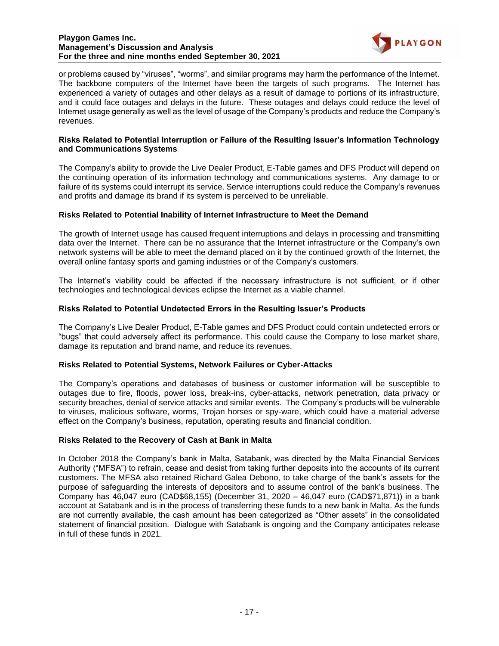

or problems caused by "viruses", "worms", and similar programs may harm the performance of the Internet. The backbone computers of the Internet have been the targets of such programs. The Internet has experienced a variety of outages and other delays as a result of damage to portions of its infrastructure, and it could face outages and delays in the future. These outages and delays could reduce the level of Internet usage generally as well as the level of usage of the Company's products and reduce the Company's revenues.

## **Risks Related to Potential Interruption or Failure of the Resulting Issuer's Information Technology and Communications Systems**

The Company's ability to provide the Live Dealer Product, E-Table games and DFS Product will depend on the continuing operation of its information technology and communications systems. Any damage to or failure of its systems could interrupt its service. Service interruptions could reduce the Company's revenues and profits and damage its brand if its system is perceived to be unreliable.

# **Risks Related to Potential Inability of Internet Infrastructure to Meet the Demand**

The growth of Internet usage has caused frequent interruptions and delays in processing and transmitting data over the Internet. There can be no assurance that the Internet infrastructure or the Company's own network systems will be able to meet the demand placed on it by the continued growth of the Internet, the overall online fantasy sports and gaming industries or of the Company's customers.

The Internet's viability could be affected if the necessary infrastructure is not sufficient, or if other technologies and technological devices eclipse the Internet as a viable channel.

# **Risks Related to Potential Undetected Errors in the Resulting Issuer's Products**

The Company's Live Dealer Product, E-Table games and DFS Product could contain undetected errors or "bugs" that could adversely affect its performance. This could cause the Company to lose market share, damage its reputation and brand name, and reduce its revenues.

### **Risks Related to Potential Systems, Network Failures or Cyber-Attacks**

The Company's operations and databases of business or customer information will be susceptible to outages due to fire, floods, power loss, break-ins, cyber-attacks, network penetration, data privacy or security breaches, denial of service attacks and similar events. The Company's products will be vulnerable to viruses, malicious software, worms, Trojan horses or spy-ware, which could have a material adverse effect on the Company's business, reputation, operating results and financial condition.

# **Risks Related to the Recovery of Cash at Bank in Malta**

In October 2018 the Company's bank in Malta, Satabank, was directed by the Malta Financial Services Authority ("MFSA") to refrain, cease and desist from taking further deposits into the accounts of its current customers. The MFSA also retained Richard Galea Debono, to take charge of the bank's assets for the purpose of safeguarding the interests of depositors and to assume control of the bank's business. The Company has 46,047 euro (CAD\$68,155) (December 31, 2020 – 46,047 euro (CAD\$71,871)) in a bank account at Satabank and is in the process of transferring these funds to a new bank in Malta. As the funds are not currently available, the cash amount has been categorized as "Other assets" in the consolidated statement of financial position. Dialogue with Satabank is ongoing and the Company anticipates release in full of these funds in 2021.